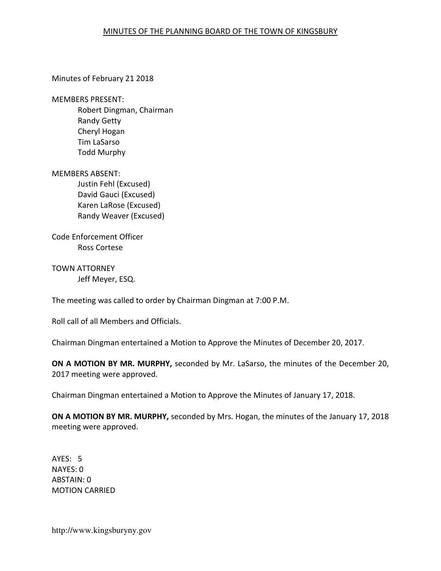## MINUTES OF THE PLANNING BOARD OF THE TOWN OF KINGSBURY

Minutes of February 21 2018

MEMBERS PRESENT:

Robert Dingman, Chairman Randy Getty Cheryl Hogan Tim LaSarso Todd Murphy

MEMBERS ABSENT:

Justin Fehl (Excused) David Gauci (Excused) Karen LaRose (Excused) Randy Weaver (Excused)

Code Enforcement Officer Ross Cortese

TOWN ATTORNEY Jeff Meyer, ESQ.

The meeting was called to order by Chairman Dingman at 7:00 P.M.

Roll call of all Members and Officials.

Chairman Dingman entertained a Motion to Approve the Minutes of December 20, 2017.

ON A MOTION BY MR. MURPHY, seconded by Mr. LaSarso, the minutes of the December 20, 2017 meeting were approved.

Chairman Dingman entertained a Motion to Approve the Minutes of January 17, 2018.

ON A MOTION BY MR. MURPHY, seconded by Mrs. Hogan, the minutes of the January 17, 2018 meeting were approved.

AYES: 5 NAYES: 0 ABSTAIN: 0 MOTION CARRIED

http://www.kingsburyny.gov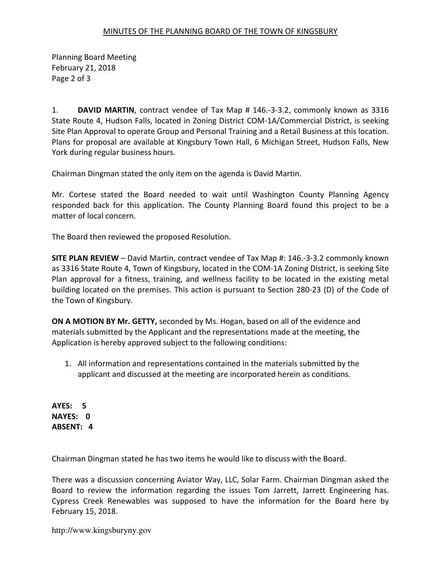## MINUTES OF THE PLANNING BOARD OF THE TOWN OF KINGSBURY

Planning Board Meeting February 21, 2018 Page 2 of 3

1. DAVID MARTIN, contract vendee of Tax Map # 146.-3-3.2, commonly known as 3316 State Route 4, Hudson Falls, located in Zoning District COM-1A/Commercial District, is seeking Site Plan Approval to operate Group and Personal Training and a Retail Business at this location. Plans for proposal are available at Kingsbury Town Hall, 6 Michigan Street, Hudson Falls, New York during regular business hours.

Chairman Dingman stated the only item on the agenda is David Martin.

Mr. Cortese stated the Board needed to wait until Washington County Planning Agency responded back for this application. The County Planning Board found this project to be a matter of local concern.

The Board then reviewed the proposed Resolution.

SITE PLAN REVIEW – David Martin, contract vendee of Tax Map #: 146.-3-3.2 commonly known as 3316 State Route 4, Town of Kingsbury, located in the COM-1A Zoning District, is seeking Site Plan approval for a fitness, training, and wellness facility to be located in the existing metal building located on the premises. This action is pursuant to Section 280-23 (D) of the Code of the Town of Kingsbury.

ON A MOTION BY Mr. GETTY, seconded by Ms. Hogan, based on all of the evidence and materials submitted by the Applicant and the representations made at the meeting, the Application is hereby approved subject to the following conditions:

1. All information and representations contained in the materials submitted by the applicant and discussed at the meeting are incorporated herein as conditions.

AYES: 5 NAYES: 0 ABSENT: 4

Chairman Dingman stated he has two items he would like to discuss with the Board.

There was a discussion concerning Aviator Way, LLC, Solar Farm. Chairman Dingman asked the Board to review the information regarding the issues Tom Jarrett, Jarrett Engineering has. Cypress Creek Renewables was supposed to have the information for the Board here by February 15, 2018.

http://www.kingsburyny.gov